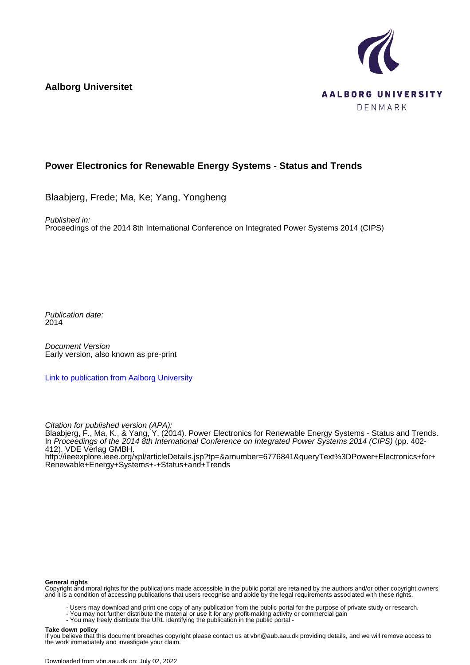**Aalborg Universitet**



## **Power Electronics for Renewable Energy Systems - Status and Trends**

Blaabjerg, Frede; Ma, Ke; Yang, Yongheng

Published in:

Proceedings of the 2014 8th International Conference on Integrated Power Systems 2014 (CIPS)

Publication date: 2014

Document Version Early version, also known as pre-print

[Link to publication from Aalborg University](https://vbn.aau.dk/en/publications/1bd75dce-bb00-4b68-918f-4a258e311521)

Citation for published version (APA):

Blaabjerg, F., Ma, K., & Yang, Y. (2014). Power Electronics for Renewable Energy Systems - Status and Trends. In Proceedings of the 2014 8th International Conference on Integrated Power Systems 2014 (CIPS) (pp. 402- 412). VDE Verlag GMBH.

[http://ieeexplore.ieee.org/xpl/articleDetails.jsp?tp=&arnumber=6776841&queryText%3DPower+Electronics+for+](http://ieeexplore.ieee.org/xpl/articleDetails.jsp?tp=&arnumber=6776841&queryText%3DPower+Electronics+for+Renewable+Energy+Systems+-+Status+and+Trends) [Renewable+Energy+Systems+-+Status+and+Trends](http://ieeexplore.ieee.org/xpl/articleDetails.jsp?tp=&arnumber=6776841&queryText%3DPower+Electronics+for+Renewable+Energy+Systems+-+Status+and+Trends)

#### **General rights**

Copyright and moral rights for the publications made accessible in the public portal are retained by the authors and/or other copyright owners and it is a condition of accessing publications that users recognise and abide by the legal requirements associated with these rights.

- Users may download and print one copy of any publication from the public portal for the purpose of private study or research.
- You may not further distribute the material or use it for any profit-making activity or commercial gain
	- You may freely distribute the URL identifying the publication in the public portal -

#### **Take down policy**

If you believe that this document breaches copyright please contact us at vbn@aub.aau.dk providing details, and we will remove access to the work immediately and investigate your claim.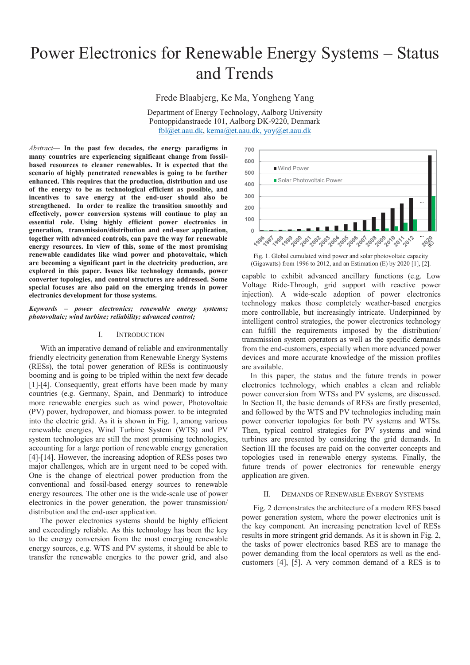# Power Electronics for Renewable Energy Systems – Status and Trends

Frede Blaabjerg, Ke Ma, Yongheng Yang

Department of Energy Technology, Aalborg University Pontoppidanstraede 101, Aalborg DK-9220, Denmark fbl@et.aau.dk, kema@et.aau.dk, yoy@et.aau.dk

*Abstract***— In the past few decades, the energy paradigms in many countries are experiencing significant change from fossilbased resources to cleaner renewables. It is expected that the scenario of highly penetrated renewables is going to be further enhanced. This requires that the production, distribution and use of the energy to be as technological efficient as possible, and incentives to save energy at the end-user should also be strengthened. In order to realize the transition smoothly and effectively, power conversion systems will continue to play an essential role. Using highly efficient power electronics in generation, transmission/distribution and end-user application, together with advanced controls, can pave the way for renewable energy resources. In view of this, some of the most promising renewable candidates like wind power and photovoltaic, which are becoming a significant part in the electricity production, are explored in this paper. Issues like technology demands, power converter topologies, and control structures are addressed. Some special focuses are also paid on the emerging trends in power electronics development for those systems.** 

## *Keywords – power electronics; renewable energy systems; photovoltaic; wind turbine; reliability; advanced control;*

## I. INTRODUCTION

With an imperative demand of reliable and environmentally friendly electricity generation from Renewable Energy Systems (RESs), the total power generation of RESs is continuously booming and is going to be tripled within the next few decade [1]-[4]. Consequently, great efforts have been made by many countries (e.g. Germany, Spain, and Denmark) to introduce more renewable energies such as wind power, Photovoltaic (PV) power, hydropower, and biomass power. to be integrated into the electric grid. As it is shown in Fig. 1, among various renewable energies, Wind Turbine System (WTS) and PV system technologies are still the most promising technologies, accounting for a large portion of renewable energy generation [4]-[14]. However, the increasing adoption of RESs poses two major challenges, which are in urgent need to be coped with. One is the change of electrical power production from the conventional and fossil-based energy sources to renewable energy resources. The other one is the wide-scale use of power electronics in the power generation, the power transmission/ distribution and the end-user application.

The power electronics systems should be highly efficient and exceedingly reliable. As this technology has been the key to the energy conversion from the most emerging renewable energy sources, e.g. WTS and PV systems, it should be able to transfer the renewable energies to the power grid, and also



Fig. 1. Global cumulated wind power and solar photovoltaic capacity (Gigawatts) from 1996 to 2012, and an Estimation (E) by 2020 [1], [2].

capable to exhibit advanced ancillary functions (e.g. Low Voltage Ride-Through, grid support with reactive power injection). A wide-scale adoption of power electronics technology makes those completely weather-based energies more controllable, but increasingly intricate. Underpinned by intelligent control strategies, the power electronics technology can fulfill the requirements imposed by the distribution/ transmission system operators as well as the specific demands from the end-customers, especially when more advanced power devices and more accurate knowledge of the mission profiles are available.

In this paper, the status and the future trends in power electronics technology, which enables a clean and reliable power conversion from WTSs and PV systems, are discussed. In Section II, the basic demands of RESs are firstly presented, and followed by the WTS and PV technologies including main power converter topologies for both PV systems and WTSs. Then, typical control strategies for PV systems and wind turbines are presented by considering the grid demands. In Section III the focuses are paid on the converter concepts and topologies used in renewable energy systems. Finally, the future trends of power electronics for renewable energy application are given.

## II. DEMANDS OF RENEWABLE ENERGY SYSTEMS

Fig. 2 demonstrates the architecture of a modern RES based power generation system, where the power electronics unit is the key component. An increasing penetration level of RESs results in more stringent grid demands. As it is shown in Fig. 2, the tasks of power electronics based RES are to manage the power demanding from the local operators as well as the endcustomers [4], [5]. A very common demand of a RES is to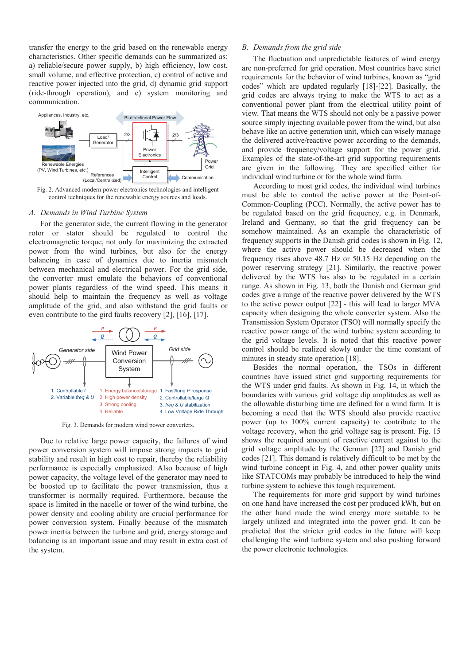transfer the energy to the grid based on the renewable energy characteristics. Other specific demands can be summarized as: a) reliable/secure power supply, b) high efficiency, low cost, small volume, and effective protection, c) control of active and reactive power injected into the grid, d) dynamic grid support (ride-through operation), and e) system monitoring and communication.



Fig. 2. Advanced modern power electronics technologies and intelligent control techniques for the renewable energy sources and loads.

## *A. Demands in Wind Turbine System*

For the generator side, the current flowing in the generator rotor or stator should be regulated to control the electromagnetic torque, not only for maximizing the extracted power from the wind turbines, but also for the energy balancing in case of dynamics due to inertia mismatch between mechanical and electrical power. For the grid side, the converter must emulate the behaviors of conventional power plants regardless of the wind speed. This means it should help to maintain the frequency as well as voltage amplitude of the grid, and also withstand the grid faults or even contribute to the gird faults recovery [2], [16], [17].



Fig. 3. Demands for modern wind power converters.

Due to relative large power capacity, the failures of wind power conversion system will impose strong impacts to grid stability and result in high cost to repair, thereby the reliability performance is especially emphasized. Also because of high power capacity, the voltage level of the generator may need to be boosted up to facilitate the power transmission, thus a transformer is normally required. Furthermore, because the space is limited in the nacelle or tower of the wind turbine, the power density and cooling ability are crucial performance for power conversion system. Finally because of the mismatch power inertia between the turbine and grid, energy storage and balancing is an important issue and may result in extra cost of the system.

## *B. Demands from the grid side*

The fluctuation and unpredictable features of wind energy are non-preferred for grid operation. Most countries have strict requirements for the behavior of wind turbines, known as "grid codes" which are updated regularly [18]-[22]. Basically, the grid codes are always trying to make the WTS to act as a conventional power plant from the electrical utility point of view. That means the WTS should not only be a passive power source simply injecting available power from the wind, but also behave like an active generation unit, which can wisely manage the delivered active/reactive power according to the demands, and provide frequency/voltage support for the power grid. Examples of the state-of-the-art grid supporting requirements are given in the following. They are specified either for individual wind turbine or for the whole wind farm.

According to most grid codes, the individual wind turbines must be able to control the active power at the Point-of-Common-Coupling (PCC). Normally, the active power has to be regulated based on the grid frequency, e.g. in Denmark, Ireland and Germany, so that the grid frequency can be somehow maintained. As an example the characteristic of frequency supports in the Danish grid codes is shown in Fig. 12, where the active power should be decreased when the frequency rises above 48.7 Hz or 50.15 Hz depending on the power reserving strategy [21]. Similarly, the reactive power delivered by the WTS has also to be regulated in a certain range. As shown in Fig. 13, both the Danish and German grid codes give a range of the reactive power delivered by the WTS to the active power output [22] - this will lead to larger MVA capacity when designing the whole converter system. Also the Transmission System Operator (TSO) will normally specify the reactive power range of the wind turbine system according to the grid voltage levels. It is noted that this reactive power control should be realized slowly under the time constant of minutes in steady state operation [18].

Besides the normal operation, the TSOs in different countries have issued strict grid supporting requirements for the WTS under grid faults. As shown in Fig. 14, in which the boundaries with various grid voltage dip amplitudes as well as the allowable disturbing time are defined for a wind farm. It is becoming a need that the WTS should also provide reactive power (up to 100% current capacity) to contribute to the voltage recovery, when the grid voltage sag is present. Fig. 15 shows the required amount of reactive current against to the grid voltage amplitude by the German [22] and Danish grid codes [21]. This demand is relatively difficult to be met by the wind turbine concept in Fig. 4, and other power quality units like STATCOMs may probably be introduced to help the wind turbine system to achieve this tough requirement.

The requirements for more grid support by wind turbines on one hand have increased the cost per produced kWh, but on the other hand made the wind energy more suitable to be largely utilized and integrated into the power grid. It can be predicted that the stricter grid codes in the future will keep challenging the wind turbine system and also pushing forward the power electronic technologies.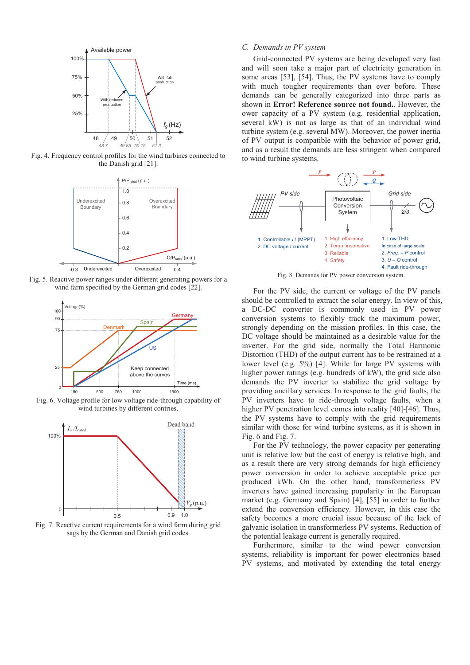

Fig. 4. Frequency control profiles for the wind turbines connected to the Danish grid [21].



Fig. 5. Reactive power ranges under different generating powers for a wind farm specified by the German grid codes [22].



Fig. 6. Voltage profile for low voltage ride-through capability of wind turbines by different contries.



Fig. 7. Reactive current requirements for a wind farm during grid sags by the German and Danish grid codes.

## *C. Demands in PV system*

Grid-connected PV systems are being developed very fast and will soon take a major part of electricity generation in some areas [53], [54]. Thus, the PV systems have to comply with much tougher requirements than ever before. These demands can be generally categorized into three parts as shown in **Error! Reference source not found.**. However, the ower capacity of a PV system (e.g. residential application, several kW) is not as large as that of an individual wind turbine system (e.g. several MW). Moreover, the power inertia of PV output is compatible with the behavior of power grid, and as a result the demands are less stringent when compared to wind turbine systems.



Fig. 8. Demands for PV power conversion system.

For the PV side, the current or voltage of the PV panels should be controlled to extract the solar energy. In view of this, a DC-DC converter is commonly used in PV power conversion systems to flexibly track the maximum power, strongly depending on the mission profiles. In this case, the DC voltage should be maintained as a desirable value for the inverter. For the grid side, normally the Total Harmonic Distortion (THD) of the output current has to be restrained at a lower level (e.g. 5%) [4]. While for large PV systems with higher power ratings (e.g. hundreds of kW), the grid side also demands the PV inverter to stabilize the grid voltage by providing ancillary services. In response to the grid faults, the PV inverters have to ride-through voltage faults, when a higher PV penetration level comes into reality [40]-[46]. Thus, the PV systems have to comply with the grid requirements similar with those for wind turbine systems, as it is shown in Fig. 6 and Fig. 7.

For the PV technology, the power capacity per generating unit is relative low but the cost of energy is relative high, and as a result there are very strong demands for high efficiency power conversion in order to achieve acceptable price per produced kWh. On the other hand, transformerless PV inverters have gained increasing popularity in the European market (e.g. Germany and Spain) [4], [55] in order to further extend the conversion efficiency. However, in this case the safety becomes a more crucial issue because of the lack of galvanic isolation in transformerless PV systems. Reduction of the potential leakage current is generally required.

Furthermore, similar to the wind power conversion systems, reliability is important for power electronics based PV systems, and motivated by extending the total energy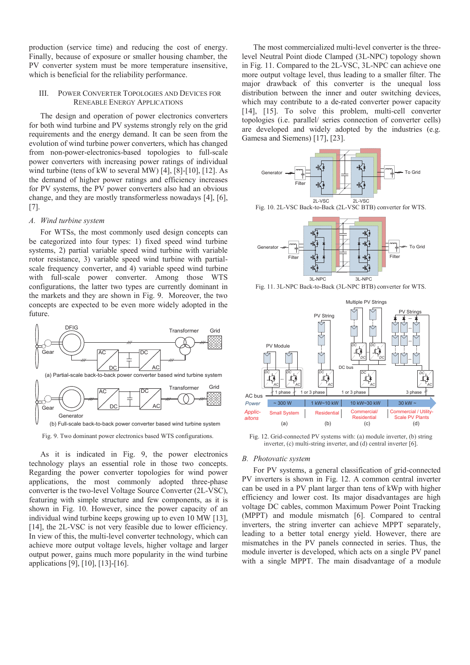production (service time) and reducing the cost of energy. Finally, because of exposure or smaller housing chamber, the PV converter system must be more temperature insensitive, which is beneficial for the reliability performance.

## III. POWER CONVERTER TOPOLOGIES AND DEVICES FOR RENEABLE ENERGY APPLICATIONS

The design and operation of power electronics converters for both wind turbine and PV systems strongly rely on the grid requirements and the energy demand. It can be seen from the evolution of wind turbine power converters, which has changed from non-power-electronics-based topologies to full-scale power converters with increasing power ratings of individual wind turbine (tens of kW to several MW) [4], [8]-[10], [12]. As the demand of higher power ratings and efficiency increases for PV systems, the PV power converters also had an obvious change, and they are mostly transformerless nowadays [4], [6], [7].

## *A. Wind turbine system*

For WTSs, the most commonly used design concepts can be categorized into four types: 1) fixed speed wind turbine systems, 2) partial variable speed wind turbine with variable rotor resistance, 3) variable speed wind turbine with partialscale frequency converter, and 4) variable speed wind turbine with full-scale power converter. Among those WTS configurations, the latter two types are currently dominant in the markets and they are shown in Fig. 9. Moreover, the two concepts are expected to be even more widely adopted in the future.



Fig. 9. Two dominant power electronics based WTS configurations.

As it is indicated in Fig. 9, the power electronics technology plays an essential role in those two concepts. Regarding the power converter topologies for wind power applications, the most commonly adopted three-phase converter is the two-level Voltage Source Converter (2L-VSC), featuring with simple structure and few components, as it is shown in Fig. 10. However, since the power capacity of an individual wind turbine keeps growing up to even 10 MW [13], [14], the 2L-VSC is not very feasible due to lower efficiency. In view of this, the multi-level converter technology, which can achieve more output voltage levels, higher voltage and larger output power, gains much more popularity in the wind turbine applications [9], [10], [13]-[16].

The most commercialized multi-level converter is the threelevel Neutral Point diode Clamped (3L-NPC) topology shown in Fig. 11. Compared to the 2L-VSC, 3L-NPC can achieve one more output voltage level, thus leading to a smaller filter. The major drawback of this converter is the unequal loss distribution between the inner and outer switching devices, which may contribute to a de-rated converter power capacity [14], [15]. To solve this problem, multi-cell converter topologies (i.e. parallel/ series connection of converter cells) are developed and widely adopted by the industries (e.g. Gamesa and Siemens) [17], [23].



Fig. 10. 2L-VSC Back-to-Back (2L-VSC BTB) converter for WTS.



Fig. 11. 3L-NPC Back-to-Back (3L-NPC BTB) converter for WTS.



Fig. 12. Grid-connected PV systems with: (a) module inverter, (b) string inverter, (c) multi-string inverter, and (d) central inverter [6].

#### *B. Photovatic system*

For PV systems, a general classification of grid-connected PV inverters is shown in Fig. 12. A common central inverter can be used in a PV plant larger than tens of kWp with higher efficiency and lower cost. Its major disadvantages are high voltage DC cables, common Maximum Power Point Tracking (MPPT) and module mismatch [6]. Compared to central inverters, the string inverter can achieve MPPT separately, leading to a better total energy yield. However, there are mismatches in the PV panels connected in series. Thus, the module inverter is developed, which acts on a single PV panel with a single MPPT. The main disadvantage of a module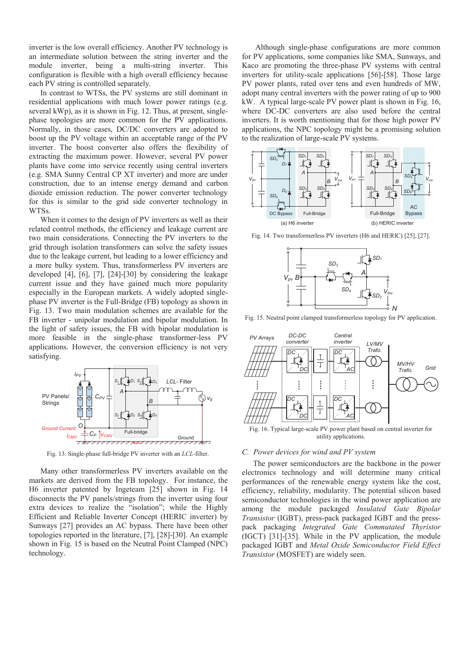inverter is the low overall efficiency. Another PV technology is an intermediate solution between the string inverter and the module inverter, being a multi-string inverter. This configuration is flexible with a high overall efficiency because each PV string is controlled separately.

In contrast to WTSs, the PV systems are still dominant in residential applications with much lower power ratings (e.g. several kWp), as it is shown in Fig. 12. Thus, at present, singlephase topologies are more common for the PV applications. Normally, in those cases, DC/DC converters are adopted to boost up the PV voltage within an acceptable range of the PV inverter. The boost converter also offers the flexibility of extracting the maximum power. However, several PV power plants have come into service recently using central inverters (e.g. SMA Sunny Central CP XT inverter) and more are under construction, due to an intense energy demand and carbon dioxide emission reduction. The power converter technology for this is similar to the grid side converter technology in WTSs.

When it comes to the design of PV inverters as well as their related control methods, the efficiency and leakage current are two main considerations. Connecting the PV inverters to the grid through isolation transformers can solve the safety issues due to the leakage current, but leading to a lower efficiency and a more bulky system. Thus, transformerless PV inverters are developed [4], [6], [7], [24]-[30] by considering the leakage current issue and they have gained much more popularity especially in the European markets. A widely adopted singlephase PV inverter is the Full-Bridge (FB) topology as shown in Fig. 13. Two main modulation schemes are available for the FB inverter - unipolar modulation and bipolar modulation. In the light of safety issues, the FB with bipolar modulation is more feasible in the single-phase transformer-less PV applications. However, the conversion efficiency is not very satisfying.



Fig. 13. Single-phase full-bridge PV inverter with an *LCL*-filter.

Many other transformerless PV inverters available on the markets are derived from the FB topology. For instance, the H6 inverter patented by Ingeteam [25] shown in Fig. 14 disconnects the PV panels/strings from the inverter using four extra devices to realize the "isolation"; while the Highly Efficient and Reliable Inverter Concept (HERIC inverter) by Sunways [27] provides an AC bypass. There have been other topologies reported in the literature, [7], [28]-[30]. An example shown in Fig. 15 is based on the Neutral Point Clamped (NPC) technology.

 Although single-phase configurations are more common for PV applications, some companies like SMA, Sunways, and Kaco are promoting the three-phase PV systems with central inverters for utility-scale applications [56]-[58]. Those large PV power plants, rated over tens and even hundreds of MW, adopt many central inverters with the power rating of up to 900 kW. A typical large-scale PV power plant is shown in Fig. 16, where DC-DC converters are also used before the central inverters. It is worth mentioning that for those high power PV applications, the NPC topology might be a promising solution to the realization of large-scale PV systems.



Fig. 14. Two transformerless PV inverters (H6 and HERIC) [25], [27].



Fig. 15. Neutral point clamped transformerless topology for PV application.



Fig. 16. Typical large-scale PV power plant based on central inverter for utility applications.

## *C. Power devices for wind and PV system*

The power semiconductors are the backbone in the power electronics technology and will determine many critical performances of the renewable energy system like the cost, efficiency, reliability, modularity. The potential silicon based semiconductor technologies in the wind power application are among the module packaged *Insulated Gate Bipolar Transistor* (IGBT), press-pack packaged IGBT and the presspack packaging *Integrated Gate Commutated Thyristor* (IGCT) [31]-[35]. While in the PV application, the module packaged IGBT and *Metal Oxide Semiconductor Field Effect Transistor* (MOSFET) are widely seen.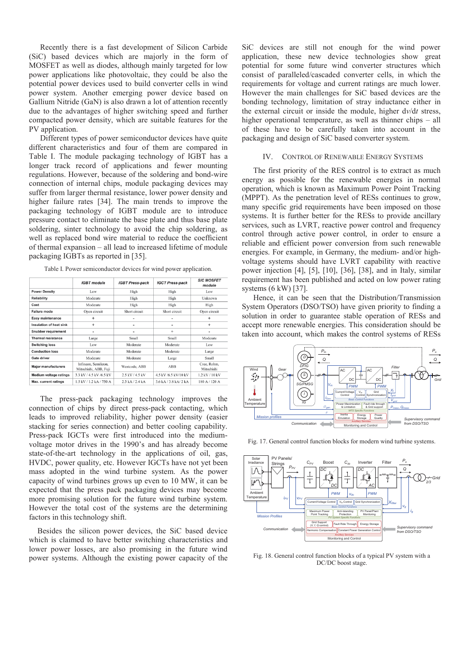Recently there is a fast development of Silicon Carbide (SiC) based devices which are majorly in the form of MOSFET as well as diodes, although mainly targeted for low power applications like photovoltaic, they could be also the potential power devices used to build converter cells in wind power system. Another emerging power device based on Gallium Nitride (GaN) is also drawn a lot of attention recently due to the advantages of higher switching speed and further compacted power density, which are suitable features for the PV application.

Different types of power semiconductor devices have quite different characteristics and four of them are compared in Table I. The module packaging technology of IGBT has a longer track record of applications and fewer mounting regulations. However, because of the soldering and bond-wire connection of internal chips, module packaging devices may suffer from larger thermal resistance, lower power density and higher failure rates [34]. The main trends to improve the packaging technology of IGBT module are to introduce pressure contact to eliminate the base plate and thus base plate soldering, sinter technology to avoid the chip soldering, as well as replaced bond wire material to reduce the coefficient of thermal expansion – all lead to increased lifetime of module packaging IGBTs as reported in [35].

Table I. Power semiconductor devices for wind power application.

|                             | <b>IGBT</b> module                           | <b>IGBT Press-pack</b> | <b>IGCT Press-pack</b>   | <b>SIC MOSFET</b><br>module |
|-----------------------------|----------------------------------------------|------------------------|--------------------------|-----------------------------|
| <b>Power Density</b>        | Low                                          | High                   | High                     | Low                         |
| Reliability                 | Moderate                                     | High                   | High                     | Unknown                     |
| Cost                        | Moderate                                     | High                   | High                     | High                        |
| <b>Failure mode</b>         | Open circuit                                 | Short circuit          | Short circuit            | Open circuit                |
| Easy maintenance            | $\ddot{}$                                    | $\overline{a}$         | $\overline{\phantom{0}}$ | ÷                           |
| Insulation of heat sink     | $\ddot{}$                                    | $\overline{a}$         | $\overline{\phantom{0}}$ | $\ddot{}$                   |
| <b>Snubber requirement</b>  | ٠                                            | ٠                      | $\ddot{}$                | ۰                           |
| Thermal resistance          | Large                                        | Small                  | Small                    | Moderate                    |
| <b>Switching loss</b>       | Low                                          | Moderate               | Moderate                 | Low                         |
| <b>Conduction loss</b>      | Moderate                                     | Moderate               | Moderate                 | Large                       |
| <b>Gate driver</b>          | Moderate                                     | Moderate               | Large                    | Small                       |
| <b>Major manufacturers</b>  | Infineon, Semikron,<br>Mitsubishi, ABB, Fuji | Westcode, ABB          | ABB                      | Cree, Rohm,<br>Mitsubishi   |
| Medium voltage ratings      | 3.3 kV / 4.5 kV / 6.5 kV                     | $2.5$ kV $/4.5$ kV     | 4.5 kV /6.5 kV/10 kV     | $1.2$ kV / $10$ kV          |
| <b>Max.</b> current ratings | 1.5 kV / 1.2 kA / 750 A                      | 2.3 kA / 2.4 kA        | 3.6 kA / 3.8 kA/ 2 kA    | 180 A / 120 A               |

The press-pack packaging technology improves the connection of chips by direct press-pack contacting, which leads to improved reliability, higher power density (easier stacking for series connection) and better cooling capability. Press-pack IGCTs were first introduced into the mediumvoltage motor drives in the 1990's and has already become state-of-the-art technology in the applications of oil, gas, HVDC, power quality, etc. However IGCTs have not yet been mass adopted in the wind turbine system. As the power capacity of wind turbines grows up even to 10 MW, it can be expected that the press pack packaging devices may become more promising solution for the future wind turbine system. However the total cost of the systems are the determining factors in this technology shift.

Besides the silicon power devices, the SiC based device which is claimed to have better switching characteristics and lower power losses, are also promising in the future wind power systems. Although the existing power capacity of the

SiC devices are still not enough for the wind power application, these new device technologies show great potential for some future wind converter structures which consist of paralleled/cascaded converter cells, in which the requirements for voltage and current ratings are much lower. However the main challenges for SiC based devices are the bonding technology, limitation of stray inductance either in the external circuit or inside the module, higher d*v*/d*t* stress, higher operational temperature, as well as thinner chips – all of these have to be carefully taken into account in the packaging and design of SiC based converter system.

## IV. CONTROL OF RENEWABLE ENERGY SYSTEMS

The first priority of the RES control is to extract as much energy as possible for the renewable energies in normal operation, which is known as Maximum Power Point Tracking (MPPT). As the penetration level of RESs continues to grow, many specific grid requirements have been imposed on those systems. It is further better for the RESs to provide ancillary services, such as LVRT, reactive power control and frequency control through active power control, in order to ensure a reliable and efficient power conversion from such renewable energies. For example, in Germany, the medium- and/or highvoltage systems should have LVRT capability with reactive power injection [4], [5], [10], [36], [38], and in Italy, similar requirement has been published and acted on low power rating systems (6 kW) [37].

Hence, it can be seen that the Distribution/Transmission System Operators (DSO/TSO) have given priority to finding a solution in order to guarantee stable operation of RESs and accept more renewable energies. This consideration should be taken into account, which makes the control systems of RESs



Fig. 17. General control function blocks for modern wind turbine systems.



Fig. 18. General control function blocks of a typical PV system with a DC/DC boost stage.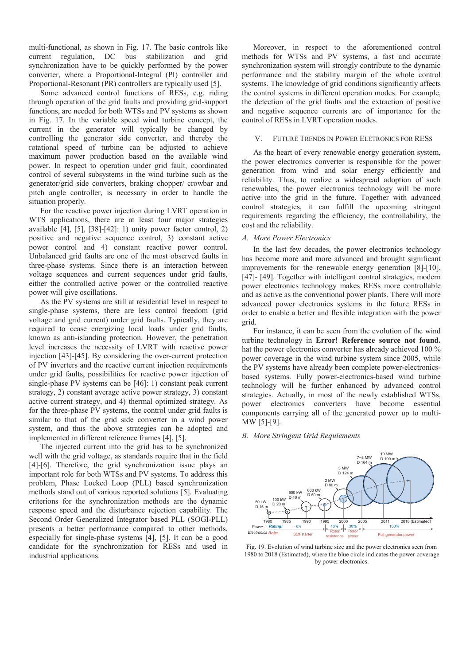multi-functional, as shown in Fig. 17. The basic controls like current regulation, DC bus stabilization and grid synchronization have to be quickly performed by the power converter, where a Proportional-Integral (PI) controller and Proportional-Resonant (PR) controllers are typically used [5].

Some advanced control functions of RESs, e.g. riding through operation of the grid faults and providing grid-support functions, are needed for both WTSs and PV systems as shown in Fig. 17. In the variable speed wind turbine concept, the current in the generator will typically be changed by controlling the generator side converter, and thereby the rotational speed of turbine can be adjusted to achieve maximum power production based on the available wind power. In respect to operation under grid fault, coordinated control of several subsystems in the wind turbine such as the generator/grid side converters, braking chopper/ crowbar and pitch angle controller, is necessary in order to handle the situation properly.

For the reactive power injection during LVRT operation in WTS applications, there are at least four major strategies available [4], [5], [38]-[42]: 1) unity power factor control, 2) positive and negative sequence control, 3) constant active power control and 4) constant reactive power control. Unbalanced grid faults are one of the most observed faults in three-phase systems. Since there is an interaction between voltage sequences and current sequences under grid faults, either the controlled active power or the controlled reactive power will give oscillations.

As the PV systems are still at residential level in respect to single-phase systems, there are less control freedom (grid voltage and grid current) under grid faults. Typically, they are required to cease energizing local loads under grid faults, known as anti-islanding protection. However, the penetration level increases the necessity of LVRT with reactive power injection [43]-[45]. By considering the over-current protection of PV inverters and the reactive current injection requirements under grid faults, possibilities for reactive power injection of single-phase PV systems can be [46]: 1) constant peak current strategy, 2) constant average active power strategy, 3) constant active current strategy, and 4) thermal optimized strategy. As for the three-phase PV systems, the control under grid faults is similar to that of the grid side converter in a wind power system, and thus the above strategies can be adopted and implemented in different reference frames [4], [5].

The injected current into the grid has to be synchronized well with the grid voltage, as standards require that in the field [4]-[6]. Therefore, the grid synchronization issue plays an important role for both WTSs and PV systems. To address this problem, Phase Locked Loop (PLL) based synchronization methods stand out of various reported solutions [5]. Evaluating criterions for the synchronization methods are the dynamic response speed and the disturbance rejection capability. The Second Order Generalized Integrator based PLL (SOGI-PLL) presents a better performance compared to other methods, especially for single-phase systems [4], [5]. It can be a good candidate for the synchronization for RESs and used in industrial applications.

Moreover, in respect to the aforementioned control methods for WTSs and PV systems, a fast and accurate synchronization system will strongly contribute to the dynamic performance and the stability margin of the whole control systems. The knowledge of grid conditions significantly affects the control systems in different operation modes. For example, the detection of the grid faults and the extraction of positive and negative sequence currents are of importance for the control of RESs in LVRT operation modes.

## V. FUTURE TRENDS IN POWER ELETRONICS FOR RESS

As the heart of every renewable energy generation system, the power electronics converter is responsible for the power generation from wind and solar energy efficiently and reliability. Thus, to realize a widespread adoption of such renewables, the power electronics technology will be more active into the grid in the future. Together with advanced control strategies, it can fulfill the upcoming stringent requirements regarding the efficiency, the controllability, the cost and the reliability.

## *A. More Power Electronics*

In the last few decades, the power electronics technology has become more and more advanced and brought significant improvements for the renewable energy generation [8]-[10], [47]- [49]. Together with intelligent control strategies, modern power electronics technology makes RESs more controllable and as active as the conventional power plants. There will more advanced power electronics systems in the future RESs in order to enable a better and flexible integration with the power grid.

For instance, it can be seen from the evolution of the wind turbine technology in **Error! Reference source not found.** hat the power electronics converter has already achieved 100 % power coverage in the wind turbine system since 2005, while the PV systems have already been complete power-electronicsbased systems. Fully power-electronics-based wind turbine technology will be further enhanced by advanced control strategies. Actually, in most of the newly established WTSs, power electronics converters have become essential components carrying all of the generated power up to multi-MW [5]-[9].

## *B. More Stringent Grid Requiements*



Fig. 19. Evolution of wind turbine size and the power electronics seen from 1980 to 2018 (Estimated), where the blue circle indicates the power coverage by power electronics.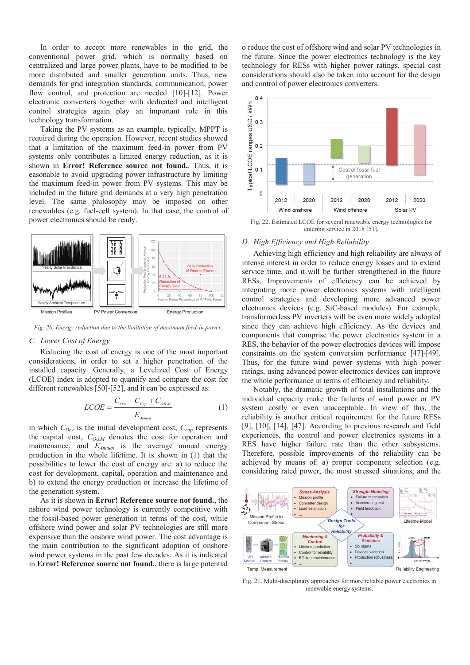In order to accept more renewables in the grid, the conventional power grid, which is normally based on centralized and large power plants, have to be modified to be more distributed and smaller generation units. Thus, new demands for grid integration standards, communication, power flow control, and protection are needed [10]-[12]. Power electronic converters together with dedicated and intelligent control strategies again play an important role in this technology transformation.

Taking the PV systems as an example, typically, MPPT is required during the operation. However, recent studies showed that a limitation of the maximum feed-in power from PV systems only contributes a limited energy reduction, as it is shown in **Error! Reference source not found.**. Thus, it is easonable to avoid upgrading power infrastructure by limiting the maximum feed-in power from PV systems. This may be included in the future grid demands at a very high penetration level. The same philosophy may be imposed on other renewables (e.g. fuel-cell system). In that case, the control of power electronics should be ready.



*Fig. 20. Energy reduction due to the limitation of maximum feed-in power.*

## *C. Lower Cost of Energy*

Reducing the cost of energy is one of the most important considerations, in order to set a higher penetration of the installed capacity. Generally, a Levelized Cost of Energy (LCOE) index is adopted to quantify and compare the cost for different renewables [50]-[52], and it can be expressed as:

$$
LCOE = \frac{C_{_{Dev}} + C_{_{Cap}} + C_{_{O\&M}}}{E_{_{\text{Annual}}}}
$$
 (1)

in which  $C_{Dev}$  is the initial development cost,  $C_{cap}$  represents the capital cost,  $C_{O\&M}$  denotes the cost for operation and maintenance, and *E<sub>Annual</sub>* is the average annual energy production in the whole lifetime. It is shown in (1) that the possibilities to lower the cost of energy are: a) to reduce the cost for development, capital, operation and maintenance and b) to extend the energy production or increase the lifetime of the generation system.

As it is shown in **Error! Reference source not found.**, the nshore wind power technology is currently competitive with the fossil-based power generation in terms of the cost, while offshore wind power and solar PV technologies are still more expensive than the onshore wind power. The cost advantage is the main contribution to the significant adoption of onshore wind power systems in the past few decades. As it is indicated in **Error! Reference source not found.**, there is large potential

o reduce the cost of offshore wind and solar PV technologies in the future. Since the power electronics technology is the key technology for RESs with higher power ratings, special cost considerations should also be taken into account for the design and control of power electronics converters.



Fig. 22. Estimated LCOE for several renewable energy technologies for entering service in 2018 [51].

## *D. High Efficiency and High Reliability*

Achieving high efficiency and high reliability are always of intense interest in order to reduce energy losses and to extend service time, and it will be further strengthened in the future RESs. Improvements of efficiency can be achieved by integrating more power electronics systems with intelligent control strategies and developing more advanced power electronics devices (e.g. SiC-based modules). For example, transformerless PV inverters will be even more widely adopted since they can achieve high efficiency. As the devices and components that comprise the power electronics system in a RES, the behavior of the power electronics devices will impose constraints on the system conversion performance [47]-[49]. Thus, for the future wind power systems with high power ratings, using advanced power electronics devices can improve the whole performance in terms of efficiency and reliability.

Notably, the dramatic growth of total installations and the individual capacity make the failures of wind power or PV system costly or even unacceptable. In view of this, the reliability is another critical requirement for the future RESs [9], [10], [14], [47]. According to previous research and field experiences, the control and power electronics systems in a RES have higher failure rate than the other subsystems. Therefore, possible improvements of the reliability can be achieved by means of: a) proper component selection (e.g. considering rated power, the most stressed situations, and the



Fig. 21. Multi-disciplinary approaches for more reliable power electronics in renewable energy systems.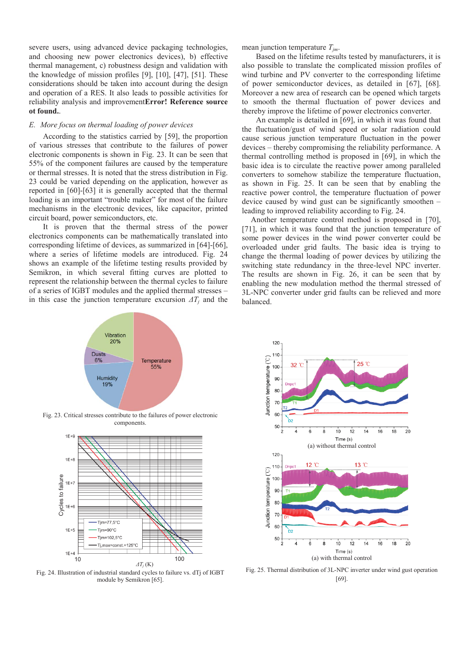severe users, using advanced device packaging technologies, and choosing new power electronics devices), b) effective thermal management, c) robustness design and validation with the knowledge of mission profiles [9], [10], [47], [51]. These considerations should be taken into account during the design and operation of a RES. It also leads to possible activities for reliability analysis and improvement**Error! Reference source ot found.**.

## *E. More focus on thermal loading of power devices*

According to the statistics carried by [59], the proportion of various stresses that contribute to the failures of power electronic components is shown in Fig. 23. It can be seen that 55% of the component failures are caused by the temperature or thermal stresses. It is noted that the stress distribution in Fig. 23 could be varied depending on the application, however as reported in [60]-[63] it is generally accepted that the thermal loading is an important "trouble maker" for most of the failure mechanisms in the electronic devices, like capacitor, printed circuit board, power semiconductors, etc.

It is proven that the thermal stress of the power electronics components can be mathematically translated into corresponding lifetime of devices, as summarized in [64]-[66], where a series of lifetime models are introduced. Fig. 24 shows an example of the lifetime testing results provided by Semikron, in which several fitting curves are plotted to represent the relationship between the thermal cycles to failure of a series of IGBT modules and the applied thermal stresses – in this case the junction temperature excursion  $\Delta T_i$  and the mean junction temperature *Tjm*.

Based on the lifetime results tested by manufacturers, it is also possible to translate the complicated mission profiles of wind turbine and PV converter to the corresponding lifetime of power semiconductor devices, as detailed in [67], [68]. Moreover a new area of research can be opened which targets to smooth the thermal fluctuation of power devices and thereby improve the lifetime of power electronics converter.

An example is detailed in [69], in which it was found that the fluctuation/gust of wind speed or solar radiation could cause serious junction temperature fluctuation in the power devices – thereby compromising the reliability performance. A thermal controlling method is proposed in [69], in which the basic idea is to circulate the reactive power among paralleled converters to somehow stabilize the temperature fluctuation, as shown in Fig. 25. It can be seen that by enabling the reactive power control, the temperature fluctuation of power device caused by wind gust can be significantly smoothen – leading to improved reliability according to Fig. 24.

Another temperature control method is proposed in [70], [71], in which it was found that the junction temperature of some power devices in the wind power converter could be overloaded under grid faults. The basic idea is trying to change the thermal loading of power devices by utilizing the switching state redundancy in the three-level NPC inverter. The results are shown in Fig. 26, it can be seen that by enabling the new modulation method the thermal stressed of 3L-NPC converter under grid faults can be relieved and more balanced.



Fig. 23. Critical stresses contribute to the failures of power electronic components.



Fig. 24. Illustration of industrial standard cycles to failure vs. dTj of IGBT module by Semikron [65].



Fig. 25. Thermal distribution of 3L-NPC inverter under wind gust operation [69].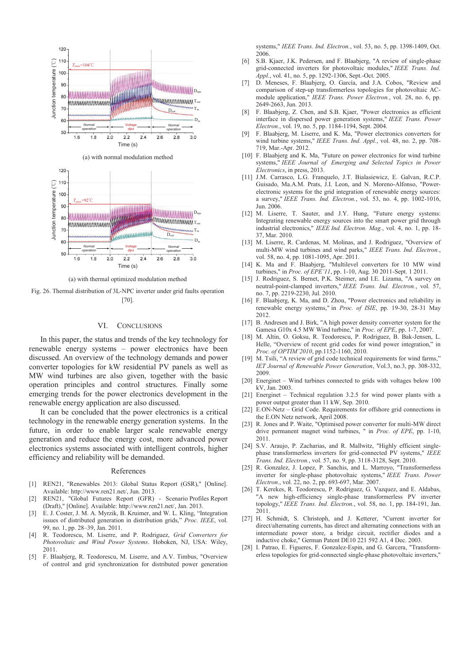

(a) with thermal optimized modulation method

Fig. 26. Thermal distribution of 3L-NPC inverter under grid faults operation [70].

#### VI. CONCLUSIONS

In this paper, the status and trends of the key technology for renewable energy systems – power electronics have been discussed. An overview of the technology demands and power converter topologies for kW residential PV panels as well as MW wind turbines are also given, together with the basic operation principles and control structures. Finally some emerging trends for the power electronics development in the renewable energy application are also discussed.

It can be concluded that the power electronics is a critical technology in the renewable energy generation systems. In the future, in order to enable larger scale renewable energy generation and reduce the energy cost, more advanced power electronics systems associated with intelligent controls, higher efficiency and reliability will be demanded.

#### References

- [1] REN21, "Renewables 2013: Global Status Report (GSR)," [Online]. Available: http://www.ren21.net/, Jun. 2013.
- [2] REN21, "Global Futures Report (GFR) Scenario Profiles Report (Draft)," [Online]. Available: http://www.ren21.net/, Jan. 2013.
- [3] E. J. Coster, J. M. A. Myrzik, B. Kruimer, and W. L. Kling, "Integration issues of distributed generation in distribution grids," *Proc. IEEE*, vol. 99, no. 1, pp. 28–39, Jan. 2011.
- [4] R. Teodorescu, M. Liserre, and P. Rodriguez, *Grid Converters for Photovoltaic and Wind Power Systems*. Hoboken, NJ, USA: Wiley, 2011.
- [5] F. Blaabjerg, R. Teodorescu, M. Liserre, and A.V. Timbus, "Overview of control and grid synchronization for distributed power generation

systems," *IEEE Trans. Ind. Electron.*, vol. 53, no. 5, pp. 1398-1409, Oct. 2006.

- [6] S.B. Kjaer, J.K. Pedersen, and F. Blaabjerg, "A review of single-phase grid-connected inverters for photovoltaic modules," *IEEE Trans. Ind. Appl.*, vol. 41, no. 5, pp. 1292-1306, Sept.-Oct. 2005.
- [7] D. Meneses, F. Blaabjerg, O. García, and J.A. Cobos, "Review and comparison of step-up transformerless topologies for photovoltaic ACmodule application," *IEEE Trans. Power Electron.*, vol. 28, no. 6, pp. 2649-2663, Jun. 2013.
- [8] F. Blaabjerg, Z. Chen, and S.B. Kjaer, "Power electronics as efficient interface in dispersed power generation systems," *IEEE Trans. Power Electron.*, vol. 19, no. 5, pp. 1184-1194, Sept. 2004.
- [9] F. Blaabjerg, M. Liserre, and K. Ma, "Power electronics converters for wind turbine systems," *IEEE Trans. Ind. Appl.*, vol. 48, no. 2, pp. 708- 719, Mar.-Apr. 2012.
- [10] F. Blaabjerg and K. Ma, "Future on power electronics for wind turbine systems," *IEEE Journal of Emerging and Selected Topics in Power Electronics*, in press, 2013.
- [11] J.M. Carrasco, L.G. Franquelo, J.T. Bialasiewicz, E. Galvan, R.C.P. Guisado, Ma.A.M. Prats, J.I. Leon, and N. Moreno-Alfonso, "Powerelectronic systems for the grid integration of renewable energy sources: a survey," *IEEE Trans. Ind. Electron.*, vol. 53, no. 4, pp. 1002-1016, Jun. 2006.
- [12] M. Liserre, T. Sauter, and J.Y. Hung, "Future energy systems: Integrating renewable energy sources into the smart power grid through industrial electronics," *IEEE Ind. Electron. Mag.*, vol. 4, no. 1, pp. 18- 37, Mar. 2010.
- [13] M. Liserre, R. Cardenas, M. Molinas, and J. Rodriguez, "Overview of multi-MW wind turbines and wind parks," *IEEE Trans. Ind. Electron.*, vol. 58, no. 4, pp. 1081-1095, Apr. 2011.
- [14] K. Ma and F. Blaabjerg, "Multilevel converters for 10 MW wind turbines," in *Proc. of EPE'11*, pp. 1-10, Aug. 30 2011-Sept. 1 2011.
- [15] J. Rodriguez, S. Bernet, P.K. Steimer, and I.E. Lizama, "A survey on neutral-point-clamped inverters," *IEEE Trans. Ind. Electron.*, vol. 57, no. 7, pp. 2219-2230, Jul. 2010.
- [16] F. Blaabjerg, K. Ma, and D. Zhou, "Power electronics and reliability in renewable energy systems," in *Proc. of ISIE*, pp. 19-30, 28-31 May 2012.
- [17] B. Andresen and J. Birk, "A high power density converter system for the Gamesa G10x 4.5 MW Wind turbine," in *Proc. of EPE*, pp. 1-7, 2007.
- [18] M. Altin, O. Goksu, R. Teodorescu, P. Rodriguez, B. Bak-Jensen, L. Helle, "Overview of recent grid codes for wind power integration," in *Proc. of OPTIM'2010*, pp.1152-1160, 2010.
- [19] M. Tsili, "A review of grid code technical requirements for wind farms," *IET Journal of Renewable Power Generation*, Vol.3, no.3, pp. 308-332, 2009.
- [20] Energinet Wind turbines connected to grids with voltages below 100 kV, Jan. 2003.
- [21] Energinet Technical regulation 3.2.5 for wind power plants with a power output greater than 11 kW, Sep. 2010.
- [22] E.ON-Netz Grid Code. Requirements for offshore grid connections in the E.ON Netz network, April 2008.
- [23] R. Jones and P. Waite, "Optimised power converter for multi-MW direct drive permanent magnet wind turbines, " in *Proc. of EPE*, pp. 1-10, 2011.
- [24] S.V. Araujo, P. Zacharias, and R. Mallwitz, "Highly efficient singlephase transformerless inverters for grid-connected PV systems," *IEEE Trans. Ind. Electron.*, vol. 57, no. 9, pp. 3118-3128, Sept. 2010.
- [25] R. Gonzalez, J. Lopez, P. Sanchis, and L. Marroyo, "Transformerless inverter for single-phase photovoltaic systems," *IEEE Trans. Power Electron.*, vol. 22, no. 2, pp. 693-697, Mar. 2007.
- [26] T. Kerekes, R. Teodorescu, P. Rodriguez, G. Vazquez, and E. Aldabas, "A new high-efficiency single-phase transformerless PV inverter topology," *IEEE Trans. Ind. Electron.*, vol. 58, no. 1, pp. 184-191, Jan. 2011.
- [27] H. Schmidt, S. Christoph, and J. Ketterer, "Current inverter for direct/alternating currents, has direct and alternating connections with an intermediate power store, a bridge circuit, rectifier diodes and a inductive choke," German Patent DE10 221 592 A1, 4 Dec. 2003.
- [28] I. Patrao, E. Figueres, F. Gonzalez-Espin, and G. Garcera, "Transformerless topologies for grid-connected single-phase photovoltaic inverters,"